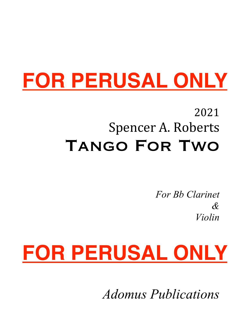# **FOR PERUSAL ONLY**

### 2021 Spencer A. Roberts Tango For Two

*For Bb Clarinet & Violin*

## **FOR PERUSAL ONLY**

*Adomus Publications*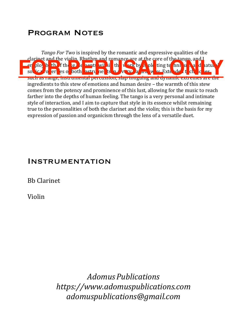#### Program Notes

*Tango For Two* is inspired by the romantic and expressive qualities of the clarinet and the violin. Rhythm and romance are at the core of the tango, and I employ both f these lements within the **v**erk by a ploting te hni uses denatural sonic to er es o both petru ne ts n very a ure why Extended t ch iques such as range, instrumental percussion, slap tonguing and dynamic extremes are the ingredients to this stew of emotions and human desire  $-$  the warmth of this stew comes from the potency and prominence of this lust, allowing for the music to reach For plot by the selection of the selection of the selection of the selection of the selection of the selection of the selection of the selection of the selection of the selection of the selection of the selection of the se

farther into the depths of human feeling. The tango is a very personal and intimate style of interaction, and I aim to capture that style in its essence whilst remaining true to the personalities of both the clarinet and the violin; this is the basis for my expression of passion and organicism through the lens of a versatile duet.

#### **INSTRUMENTATION**

Bb Clarinet

Violin

*Adomus Publications https://www.adomuspublications.com adomuspublications@gmail.com*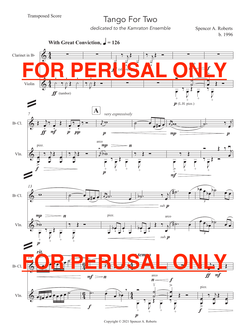Transposed Score

### Tango For Two

*dedicated to the Kamraton Ensemble*

Spencer A. Roberts b. 1996



Copyright © 2021 Spencer A. Roberts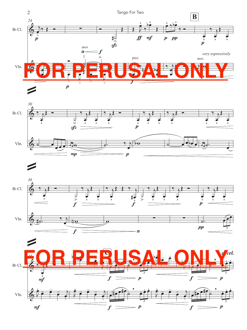





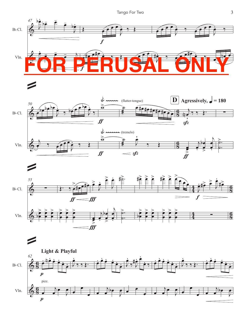





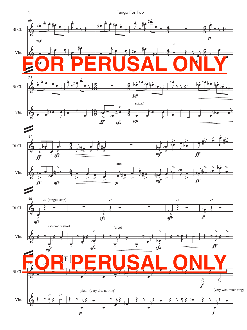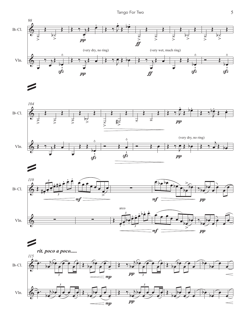





 $m<sub>j</sub>$ 

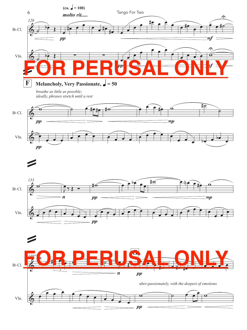





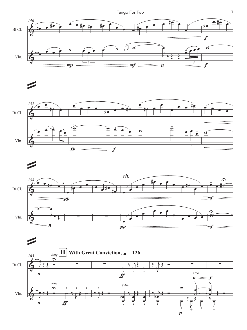